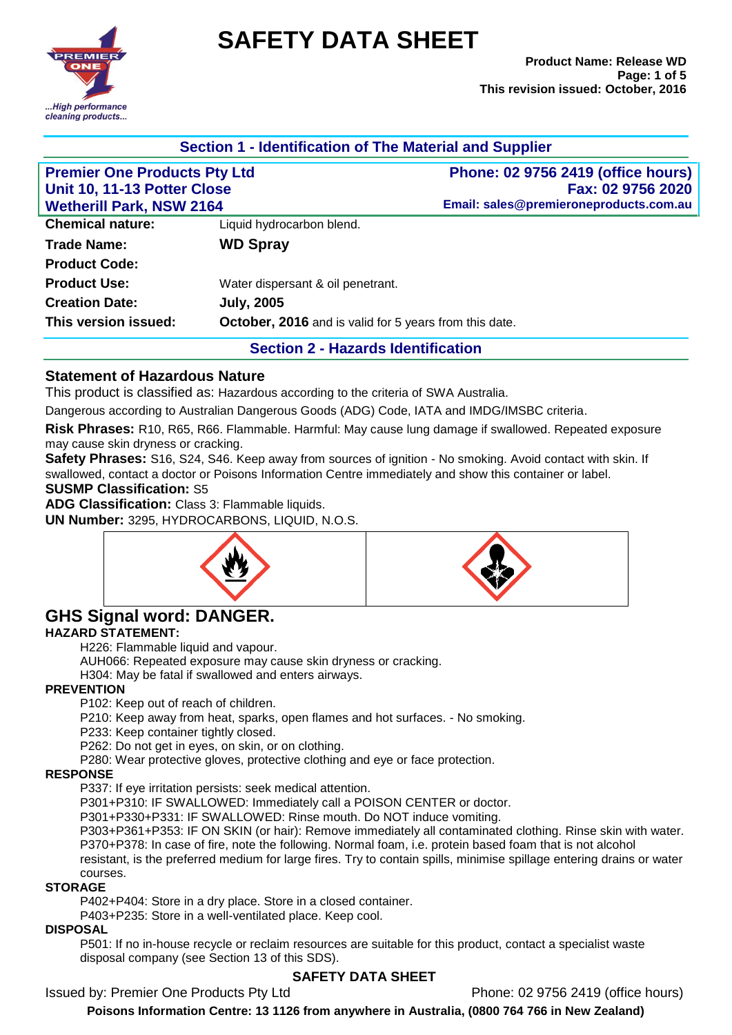

# **SAFETY DATA SHEET**

| Section 1 - Identification of The Material and Supplier                                               |                                                               |                                                             |                         |                           |
|-------------------------------------------------------------------------------------------------------|---------------------------------------------------------------|-------------------------------------------------------------|-------------------------|---------------------------|
| <b>Premier One Products Pty Ltd</b><br>Unit 10, 11-13 Potter Close<br><b>Wetherill Park, NSW 2164</b> |                                                               | Phone: 02 9756 2419 (office hours)                          |                         |                           |
|                                                                                                       |                                                               | Fax: 02 9756 2020<br>Email: sales@premieroneproducts.com.au |                         |                           |
|                                                                                                       |                                                               |                                                             | <b>Chemical nature:</b> | Liquid hydrocarbon blend. |
| <b>Trade Name:</b>                                                                                    | <b>WD Spray</b>                                               |                                                             |                         |                           |
| <b>Product Code:</b>                                                                                  |                                                               |                                                             |                         |                           |
| <b>Product Use:</b>                                                                                   | Water dispersant & oil penetrant.                             |                                                             |                         |                           |
| <b>Creation Date:</b>                                                                                 | <b>July, 2005</b>                                             |                                                             |                         |                           |
| This version issued:                                                                                  | <b>October, 2016</b> and is valid for 5 years from this date. |                                                             |                         |                           |
|                                                                                                       | <b>Section 2 - Hazards Identification</b>                     |                                                             |                         |                           |

## **Statement of Hazardous Nature**

This product is classified as: Hazardous according to the criteria of SWA Australia.

Dangerous according to Australian Dangerous Goods (ADG) Code, IATA and IMDG/IMSBC criteria.

**Risk Phrases:** R10, R65, R66. Flammable. Harmful: May cause lung damage if swallowed. Repeated exposure may cause skin dryness or cracking.

**Safety Phrases:** S16, S24, S46. Keep away from sources of ignition - No smoking. Avoid contact with skin. If swallowed, contact a doctor or Poisons Information Centre immediately and show this container or label.

#### **SUSMP Classification:** S5

**ADG Classification:** Class 3: Flammable liquids.

**UN Number:** 3295, HYDROCARBONS, LIQUID, N.O.S.





# **GHS Signal word: DANGER.**

#### **HAZARD STATEMENT:**

H226: Flammable liquid and vapour.

AUH066: Repeated exposure may cause skin dryness or cracking.

H304: May be fatal if swallowed and enters airways.

#### **PREVENTION**

P102: Keep out of reach of children.

P210: Keep away from heat, sparks, open flames and hot surfaces. - No smoking.

P233: Keep container tightly closed.

P262: Do not get in eyes, on skin, or on clothing.

P280: Wear protective gloves, protective clothing and eye or face protection.

#### **RESPONSE**

P337: If eye irritation persists: seek medical attention.

P301+P310: IF SWALLOWED: Immediately call a POISON CENTER or doctor.

P301+P330+P331: IF SWALLOWED: Rinse mouth. Do NOT induce vomiting.

P303+P361+P353: IF ON SKIN (or hair): Remove immediately all contaminated clothing. Rinse skin with water. P370+P378: In case of fire, note the following. Normal foam, i.e. protein based foam that is not alcohol

resistant, is the preferred medium for large fires. Try to contain spills, minimise spillage entering drains or water courses.

#### **STORAGE**

P402+P404: Store in a dry place. Store in a closed container.

P403+P235: Store in a well-ventilated place. Keep cool.

#### **DISPOSAL**

P501: If no in-house recycle or reclaim resources are suitable for this product, contact a specialist waste disposal company (see Section 13 of this SDS).

## **SAFETY DATA SHEET**

Issued by: Premier One Products Pty Ltd Phone: 02 9756 2419 (office hours)

**Poisons Information Centre: 13 1126 from anywhere in Australia, (0800 764 766 in New Zealand)**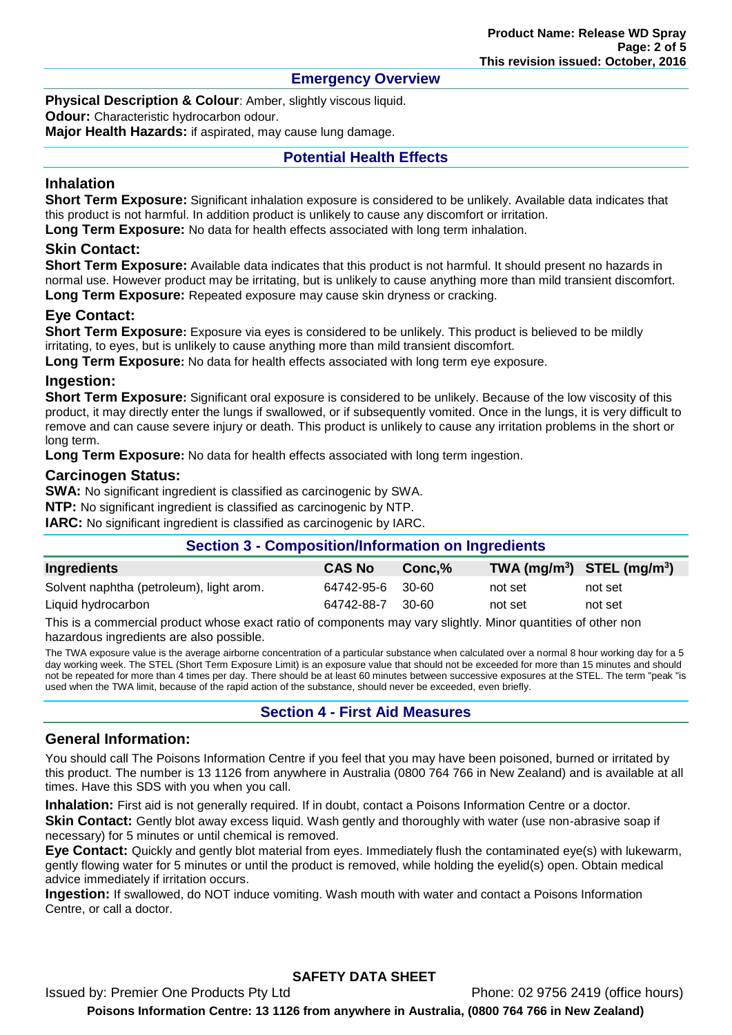## **Emergency Overview**

**Physical Description & Colour: Amber, slightly viscous liquid.** 

**Odour:** Characteristic hydrocarbon odour.

**Major Health Hazards:** if aspirated, may cause lung damage.

## **Potential Health Effects**

## **Inhalation**

**Short Term Exposure:** Significant inhalation exposure is considered to be unlikely. Available data indicates that this product is not harmful. In addition product is unlikely to cause any discomfort or irritation. **Long Term Exposure:** No data for health effects associated with long term inhalation.

## **Skin Contact:**

**Short Term Exposure:** Available data indicates that this product is not harmful. It should present no hazards in normal use. However product may be irritating, but is unlikely to cause anything more than mild transient discomfort. **Long Term Exposure:** Repeated exposure may cause skin dryness or cracking.

## **Eye Contact:**

**Short Term Exposure:** Exposure via eyes is considered to be unlikely. This product is believed to be mildly irritating, to eyes, but is unlikely to cause anything more than mild transient discomfort.

**Long Term Exposure:** No data for health effects associated with long term eye exposure.

#### **Ingestion:**

**Short Term Exposure:** Significant oral exposure is considered to be unlikely. Because of the low viscosity of this product, it may directly enter the lungs if swallowed, or if subsequently vomited. Once in the lungs, it is very difficult to remove and can cause severe injury or death. This product is unlikely to cause any irritation problems in the short or long term.

**Long Term Exposure:** No data for health effects associated with long term ingestion.

#### **Carcinogen Status:**

**SWA:** No significant ingredient is classified as carcinogenic by SWA.

**NTP:** No significant ingredient is classified as carcinogenic by NTP.

**IARC:** No significant ingredient is classified as carcinogenic by IARC.

## **Section 3 - Composition/Information on Ingredients**

| Ingredients                              | <b>CAS No</b>    | $Conc.\%$ | TWA $(mg/m^3)$ STEL $(mg/m^3)$ |         |
|------------------------------------------|------------------|-----------|--------------------------------|---------|
| Solvent naphtha (petroleum), light arom. | 64742-95-6 30-60 |           | not set                        | not set |
| Liquid hydrocarbon                       | 64742-88-7       | 30-60     | not set                        | not set |

This is a commercial product whose exact ratio of components may vary slightly. Minor quantities of other non hazardous ingredients are also possible.

The TWA exposure value is the average airborne concentration of a particular substance when calculated over a normal 8 hour working day for a 5 day working week. The STEL (Short Term Exposure Limit) is an exposure value that should not be exceeded for more than 15 minutes and should not be repeated for more than 4 times per day. There should be at least 60 minutes between successive exposures at the STEL. The term "peak "is used when the TWA limit, because of the rapid action of the substance, should never be exceeded, even briefly.

## **Section 4 - First Aid Measures**

## **General Information:**

You should call The Poisons Information Centre if you feel that you may have been poisoned, burned or irritated by this product. The number is 13 1126 from anywhere in Australia (0800 764 766 in New Zealand) and is available at all times. Have this SDS with you when you call.

**Inhalation:** First aid is not generally required. If in doubt, contact a Poisons Information Centre or a doctor. **Skin Contact:** Gently blot away excess liquid. Wash gently and thoroughly with water (use non-abrasive soap if necessary) for 5 minutes or until chemical is removed.

**Eye Contact:** Quickly and gently blot material from eyes. Immediately flush the contaminated eye(s) with lukewarm, gently flowing water for 5 minutes or until the product is removed, while holding the eyelid(s) open. Obtain medical advice immediately if irritation occurs.

**Ingestion:** If swallowed, do NOT induce vomiting. Wash mouth with water and contact a Poisons Information Centre, or call a doctor.

## **SAFETY DATA SHEET**

Issued by: Premier One Products Pty Ltd Phone: 02 9756 2419 (office hours) **Poisons Information Centre: 13 1126 from anywhere in Australia, (0800 764 766 in New Zealand)**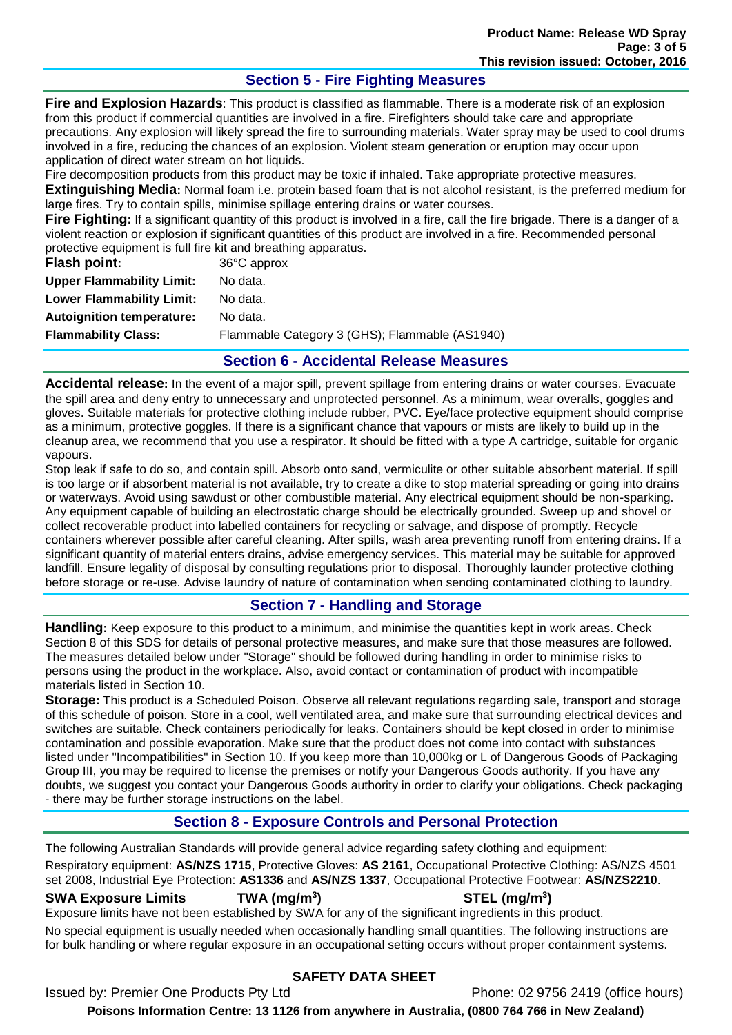## **Section 5 - Fire Fighting Measures**

**Fire and Explosion Hazards**: This product is classified as flammable. There is a moderate risk of an explosion from this product if commercial quantities are involved in a fire. Firefighters should take care and appropriate precautions. Any explosion will likely spread the fire to surrounding materials. Water spray may be used to cool drums involved in a fire, reducing the chances of an explosion. Violent steam generation or eruption may occur upon application of direct water stream on hot liquids.

Fire decomposition products from this product may be toxic if inhaled. Take appropriate protective measures. **Extinguishing Media:** Normal foam i.e. protein based foam that is not alcohol resistant, is the preferred medium for large fires. Try to contain spills, minimise spillage entering drains or water courses.

**Fire Fighting:** If a significant quantity of this product is involved in a fire, call the fire brigade. There is a danger of a violent reaction or explosion if significant quantities of this product are involved in a fire. Recommended personal protective equipment is full fire kit and breathing apparatus.

| Flash point:                     | 36°C approx                                    |
|----------------------------------|------------------------------------------------|
| <b>Upper Flammability Limit:</b> | No data.                                       |
| <b>Lower Flammability Limit:</b> | No data.                                       |
| <b>Autoignition temperature:</b> | No data.                                       |
| <b>Flammability Class:</b>       | Flammable Category 3 (GHS); Flammable (AS1940) |
|                                  |                                                |

## **Section 6 - Accidental Release Measures**

**Accidental release:** In the event of a major spill, prevent spillage from entering drains or water courses. Evacuate the spill area and deny entry to unnecessary and unprotected personnel. As a minimum, wear overalls, goggles and gloves. Suitable materials for protective clothing include rubber, PVC. Eye/face protective equipment should comprise as a minimum, protective goggles. If there is a significant chance that vapours or mists are likely to build up in the cleanup area, we recommend that you use a respirator. It should be fitted with a type A cartridge, suitable for organic vapours.

Stop leak if safe to do so, and contain spill. Absorb onto sand, vermiculite or other suitable absorbent material. If spill is too large or if absorbent material is not available, try to create a dike to stop material spreading or going into drains or waterways. Avoid using sawdust or other combustible material. Any electrical equipment should be non-sparking. Any equipment capable of building an electrostatic charge should be electrically grounded. Sweep up and shovel or collect recoverable product into labelled containers for recycling or salvage, and dispose of promptly. Recycle containers wherever possible after careful cleaning. After spills, wash area preventing runoff from entering drains. If a significant quantity of material enters drains, advise emergency services. This material may be suitable for approved landfill. Ensure legality of disposal by consulting regulations prior to disposal. Thoroughly launder protective clothing before storage or re-use. Advise laundry of nature of contamination when sending contaminated clothing to laundry.

## **Section 7 - Handling and Storage**

**Handling:** Keep exposure to this product to a minimum, and minimise the quantities kept in work areas. Check Section 8 of this SDS for details of personal protective measures, and make sure that those measures are followed. The measures detailed below under "Storage" should be followed during handling in order to minimise risks to persons using the product in the workplace. Also, avoid contact or contamination of product with incompatible materials listed in Section 10.

**Storage:** This product is a Scheduled Poison. Observe all relevant regulations regarding sale, transport and storage of this schedule of poison. Store in a cool, well ventilated area, and make sure that surrounding electrical devices and switches are suitable. Check containers periodically for leaks. Containers should be kept closed in order to minimise contamination and possible evaporation. Make sure that the product does not come into contact with substances listed under "Incompatibilities" in Section 10. If you keep more than 10,000kg or L of Dangerous Goods of Packaging Group III, you may be required to license the premises or notify your Dangerous Goods authority. If you have any doubts, we suggest you contact your Dangerous Goods authority in order to clarify your obligations. Check packaging - there may be further storage instructions on the label.

# **Section 8 - Exposure Controls and Personal Protection**

The following Australian Standards will provide general advice regarding safety clothing and equipment: Respiratory equipment: **AS/NZS 1715**, Protective Gloves: **AS 2161**, Occupational Protective Clothing: AS/NZS 4501

# set 2008, Industrial Eye Protection: **AS1336** and **AS/NZS 1337**, Occupational Protective Footwear: **AS/NZS2210**.

# **SWA Exposure Limits TWA (mg/m<sup>3</sup>**

**) STEL (mg/m<sup>3</sup> )**

Exposure limits have not been established by SWA for any of the significant ingredients in this product.

No special equipment is usually needed when occasionally handling small quantities. The following instructions are for bulk handling or where regular exposure in an occupational setting occurs without proper containment systems.

## **SAFETY DATA SHEET**

Issued by: Premier One Products Pty Ltd Phone: 02 9756 2419 (office hours)

**Poisons Information Centre: 13 1126 from anywhere in Australia, (0800 764 766 in New Zealand)**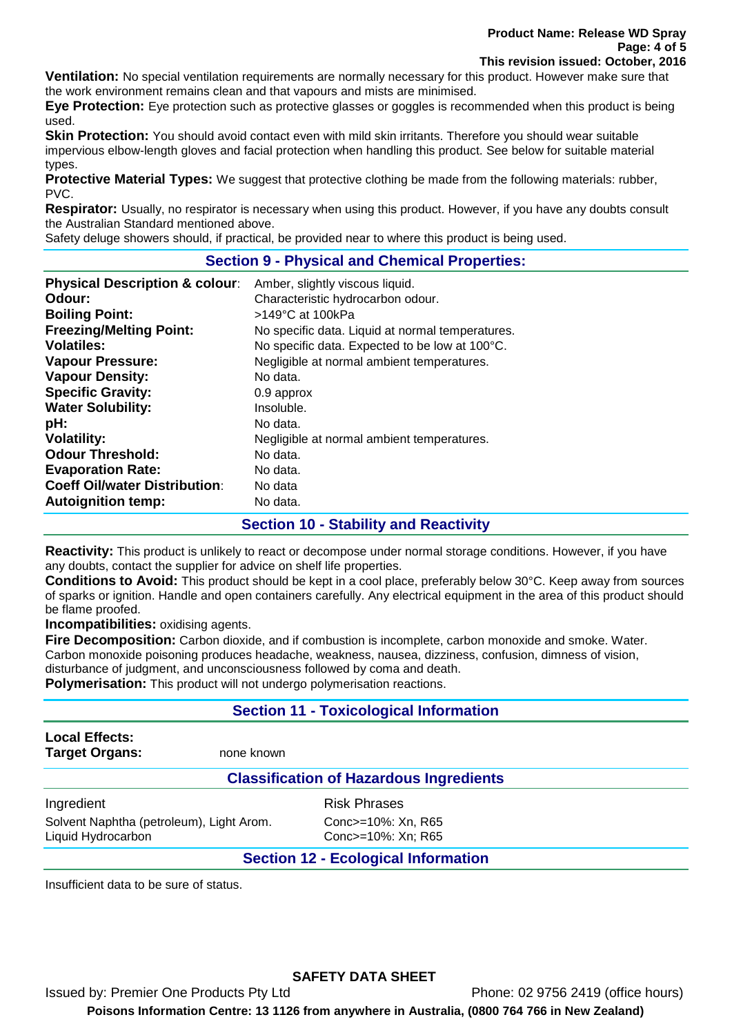**Ventilation:** No special ventilation requirements are normally necessary for this product. However make sure that the work environment remains clean and that vapours and mists are minimised.

**Eye Protection:** Eye protection such as protective glasses or goggles is recommended when this product is being used.

**Skin Protection:** You should avoid contact even with mild skin irritants. Therefore you should wear suitable impervious elbow-length gloves and facial protection when handling this product. See below for suitable material types.

**Protective Material Types:** We suggest that protective clothing be made from the following materials: rubber, PVC.

**Respirator:** Usually, no respirator is necessary when using this product. However, if you have any doubts consult the Australian Standard mentioned above.

Safety deluge showers should, if practical, be provided near to where this product is being used.

## **Section 9 - Physical and Chemical Properties:**

| <b>Physical Description &amp; colour:</b> | Amber, slightly viscous liquid.                  |
|-------------------------------------------|--------------------------------------------------|
| Odour:                                    | Characteristic hydrocarbon odour.                |
| <b>Boiling Point:</b>                     | $>149^{\circ}$ C at 100kPa                       |
| <b>Freezing/Melting Point:</b>            | No specific data. Liquid at normal temperatures. |
| <b>Volatiles:</b>                         | No specific data. Expected to be low at 100°C.   |
| <b>Vapour Pressure:</b>                   | Negligible at normal ambient temperatures.       |
| <b>Vapour Density:</b>                    | No data.                                         |
| <b>Specific Gravity:</b>                  | 0.9 approx                                       |
| <b>Water Solubility:</b>                  | Insoluble.                                       |
| pH:                                       | No data.                                         |
| <b>Volatility:</b>                        | Negligible at normal ambient temperatures.       |
| <b>Odour Threshold:</b>                   | No data.                                         |
| <b>Evaporation Rate:</b>                  | No data.                                         |
| <b>Coeff Oil/water Distribution:</b>      | No data                                          |
| <b>Autoignition temp:</b>                 | No data.                                         |

## **Section 10 - Stability and Reactivity**

**Reactivity:** This product is unlikely to react or decompose under normal storage conditions. However, if you have any doubts, contact the supplier for advice on shelf life properties.

**Conditions to Avoid:** This product should be kept in a cool place, preferably below 30°C. Keep away from sources of sparks or ignition. Handle and open containers carefully. Any electrical equipment in the area of this product should be flame proofed.

**Incompatibilities:** oxidising agents.

**Fire Decomposition:** Carbon dioxide, and if combustion is incomplete, carbon monoxide and smoke. Water. Carbon monoxide poisoning produces headache, weakness, nausea, dizziness, confusion, dimness of vision, disturbance of judgment, and unconsciousness followed by coma and death.

**Polymerisation:** This product will not undergo polymerisation reactions.

## **Section 11 - Toxicological Information**

| <b>Local Effects:</b> |            |
|-----------------------|------------|
| <b>Target Organs:</b> | none known |

#### **Classification of Hazardous Ingredients**

Ingredient **Risk Phrases** Solvent Naphtha (petroleum), Light Arom. Conc>=10%: Xn, R65 Liquid Hydrocarbon Conc>=10%: Xn; R65

## **Section 12 - Ecological Information**

Insufficient data to be sure of status.